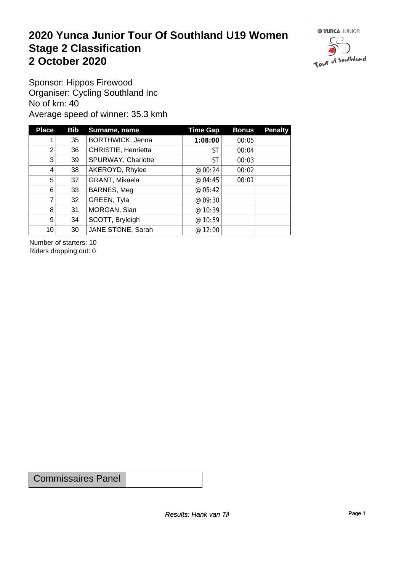#### **2020 Yunca Junior Tour Of Southland U19 Women** Stage 2 Classification<br>
2 October 2020 **2 October 2020**



Sponsor: Hippos Firewood Organiser: Cycling Southland Inc No of km: 40 Average speed of winner: 35.3 kmh

| <b>Place</b>    | <b>Bib</b> | Surname, name       | <b>Time Gap</b> | <b>Bonus</b> | <b>Penalty</b> |
|-----------------|------------|---------------------|-----------------|--------------|----------------|
|                 | 35         | BORTHWICK, Jenna    | 1:08:00         | 00:05        |                |
| $\overline{2}$  | 36         | CHRISTIE, Henrietta | ST              | 00:04        |                |
| 3 <sub>l</sub>  | 39         | SPURWAY, Charlotte  | ST              | 00:03        |                |
| 4               | 38         | AKEROYD, Rhylee     | @ 00:24         | 00:02        |                |
| 5               | 37         | GRANT, Mikaela      | @ 04:45         | 00:01        |                |
| 6               | 33         | BARNES, Meg         | @ 05:42         |              |                |
| 7               | 32         | GREEN, Tyla         | @ 09:30         |              |                |
| 8               | 31         | MORGAN, Sian        | @ 10:39         |              |                |
| 9 <sup>1</sup>  | 34         | SCOTT, Bryleigh     | @ 10:59         |              |                |
| 10 <sup>1</sup> | 30         | JANE STONE, Sarah   | @ 12:00         |              |                |

Number of starters: 10 Riders dropping out: 0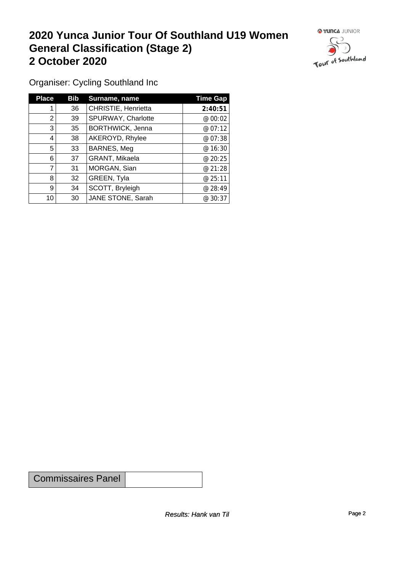#### **2020 Yunca Junior Tour Of Southland U19 Women General Classification (Stage 2)**<br>
2 October 2020 **2 October 2020**



Organiser: Cycling Southland Inc

| <b>Place</b> | Bib | Surname, name           | <b>Time Gap</b> |
|--------------|-----|-------------------------|-----------------|
|              | 36  | CHRISTIE, Henrietta     | 2:40:51         |
| 2            | 39  | SPURWAY, Charlotte      | @ 00:02         |
| 3            | 35  | <b>BORTHWICK, Jenna</b> | @ 07:12         |
| 4            | 38  | AKEROYD, Rhylee         | @ 07:38         |
| 5            | 33  | BARNES, Meg             | @ 16:30         |
| 6            | 37  | GRANT, Mikaela          | @20:25          |
| 7            | 31  | MORGAN, Sian            | @21:28          |
| 8            | 32  | GREEN, Tyla             | @25:11          |
| 9            | 34  | SCOTT, Bryleigh         | @28:49          |
| 10           | 30  | JANE STONE, Sarah       | @30:37          |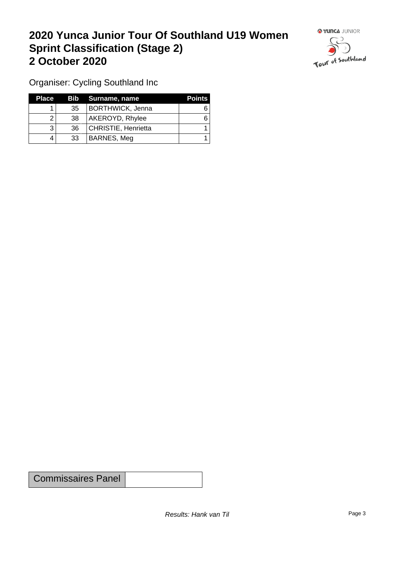## **2020 Yunca Junior Tour Of Southland U19 Women Sprint Classification (Stage 2) 2 October 2020**



Organiser: Cycling Southland Inc

| <b>Place</b> |                 | Bib Surname, name       | <b>Points</b> |
|--------------|-----------------|-------------------------|---------------|
|              | 35 <sup>1</sup> | <b>BORTHWICK, Jenna</b> |               |
|              | 38              | AKEROYD, Rhylee         |               |
|              | 36 <sup>°</sup> | CHRISTIE, Henrietta     |               |
| 4            | 33              | BARNES, Meg             |               |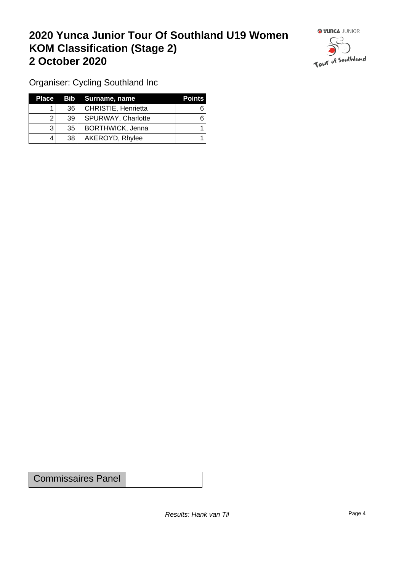## **2020 Yunca Junior Tour Of Southland U19 Women KOM Classification (Stage 2) 2 October 2020**



Organiser: Cycling Southland Inc

| Place |                 | Bib Surname, name         | <b>Points</b> |
|-------|-----------------|---------------------------|---------------|
|       | 36              | CHRISTIE, Henrietta       |               |
|       | 39              | <b>SPURWAY, Charlotte</b> |               |
|       | 35 <sup>2</sup> | BORTHWICK, Jenna          |               |
|       | 38              | AKEROYD, Rhylee           |               |